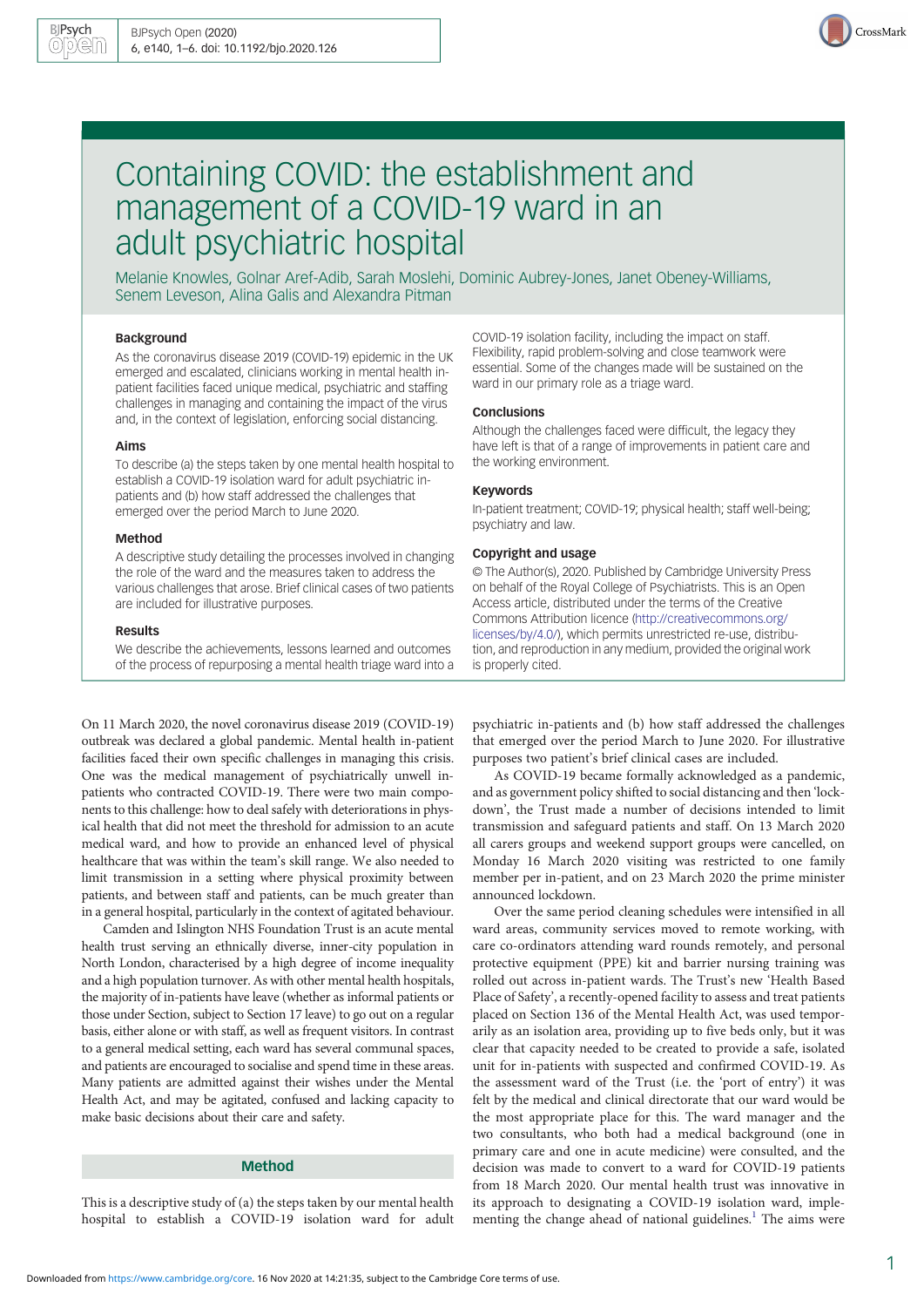

# Containing COVID: the establishment and management of a COVID-19 ward in an adult psychiatric hospital

Melanie Knowles, Golnar Aref-Adib, Sarah Moslehi, Dominic Aubrey-Jones, Janet Obeney-Williams, Senem Leveson, Alina Galis and Alexandra Pitman

## Background

As the coronavirus disease 2019 (COVID-19) epidemic in the UK emerged and escalated, clinicians working in mental health inpatient facilities faced unique medical, psychiatric and staffing challenges in managing and containing the impact of the virus and, in the context of legislation, enforcing social distancing.

#### Aims

To describe (a) the steps taken by one mental health hospital to establish a COVID-19 isolation ward for adult psychiatric inpatients and (b) how staff addressed the challenges that emerged over the period March to June 2020.

## Method

A descriptive study detailing the processes involved in changing the role of the ward and the measures taken to address the various challenges that arose. Brief clinical cases of two patients are included for illustrative purposes.

#### Results

We describe the achievements, lessons learned and outcomes of the process of repurposing a mental health triage ward into a

On 11 March 2020, the novel coronavirus disease 2019 (COVID-19) outbreak was declared a global pandemic. Mental health in-patient facilities faced their own specific challenges in managing this crisis. One was the medical management of psychiatrically unwell inpatients who contracted COVID-19. There were two main components to this challenge: how to deal safely with deteriorations in physical health that did not meet the threshold for admission to an acute medical ward, and how to provide an enhanced level of physical healthcare that was within the team's skill range. We also needed to limit transmission in a setting where physical proximity between patients, and between staff and patients, can be much greater than in a general hospital, particularly in the context of agitated behaviour.

Camden and Islington NHS Foundation Trust is an acute mental health trust serving an ethnically diverse, inner-city population in North London, characterised by a high degree of income inequality and a high population turnover. As with other mental health hospitals, the majority of in-patients have leave (whether as informal patients or those under Section, subject to Section 17 leave) to go out on a regular basis, either alone or with staff, as well as frequent visitors. In contrast to a general medical setting, each ward has several communal spaces, and patients are encouraged to socialise and spend time in these areas. Many patients are admitted against their wishes under the Mental Health Act, and may be agitated, confused and lacking capacity to make basic decisions about their care and safety.

# Method

This is a descriptive study of (a) the steps taken by our mental health hospital to establish a COVID-19 isolation ward for adult COVID-19 isolation facility, including the impact on staff. Flexibility, rapid problem-solving and close teamwork were essential. Some of the changes made will be sustained on the ward in our primary role as a triage ward.

## Conclusions

Although the challenges faced were difficult, the legacy they have left is that of a range of improvements in patient care and the working environment.

## Keywords

In-patient treatment; COVID-19; physical health; staff well-being; psychiatry and law.

# Copyright and usage

© The Author(s), 2020. Published by Cambridge University Press on behalf of the Royal College of Psychiatrists. This is an Open Access article, distributed under the terms of the Creative Commons Attribution licence [\(http://creativecommons.org/](http://creativecommons.org/licenses/by/4.0/) [licenses/by/4.0/](http://creativecommons.org/licenses/by/4.0/)), which permits unrestricted re-use, distribution, and reproduction in any medium, provided the original work is properly cited.

psychiatric in-patients and (b) how staff addressed the challenges that emerged over the period March to June 2020. For illustrative purposes two patient's brief clinical cases are included.

As COVID-19 became formally acknowledged as a pandemic, and as government policy shifted to social distancing and then 'lockdown', the Trust made a number of decisions intended to limit transmission and safeguard patients and staff. On 13 March 2020 all carers groups and weekend support groups were cancelled, on Monday 16 March 2020 visiting was restricted to one family member per in-patient, and on 23 March 2020 the prime minister announced lockdown.

Over the same period cleaning schedules were intensified in all ward areas, community services moved to remote working, with care co-ordinators attending ward rounds remotely, and personal protective equipment (PPE) kit and barrier nursing training was rolled out across in-patient wards. The Trust's new 'Health Based Place of Safety', a recently-opened facility to assess and treat patients placed on Section 136 of the Mental Health Act, was used temporarily as an isolation area, providing up to five beds only, but it was clear that capacity needed to be created to provide a safe, isolated unit for in-patients with suspected and confirmed COVID-19. As the assessment ward of the Trust (i.e. the 'port of entry') it was felt by the medical and clinical directorate that our ward would be the most appropriate place for this. The ward manager and the two consultants, who both had a medical background (one in primary care and one in acute medicine) were consulted, and the decision was made to convert to a ward for COVID-19 patients from 18 March 2020. Our mental health trust was innovative in its approach to designating a COVID-19 isolation ward, imple-menting the change ahead of national guidelines.<sup>[1](#page-5-0)</sup> The aims were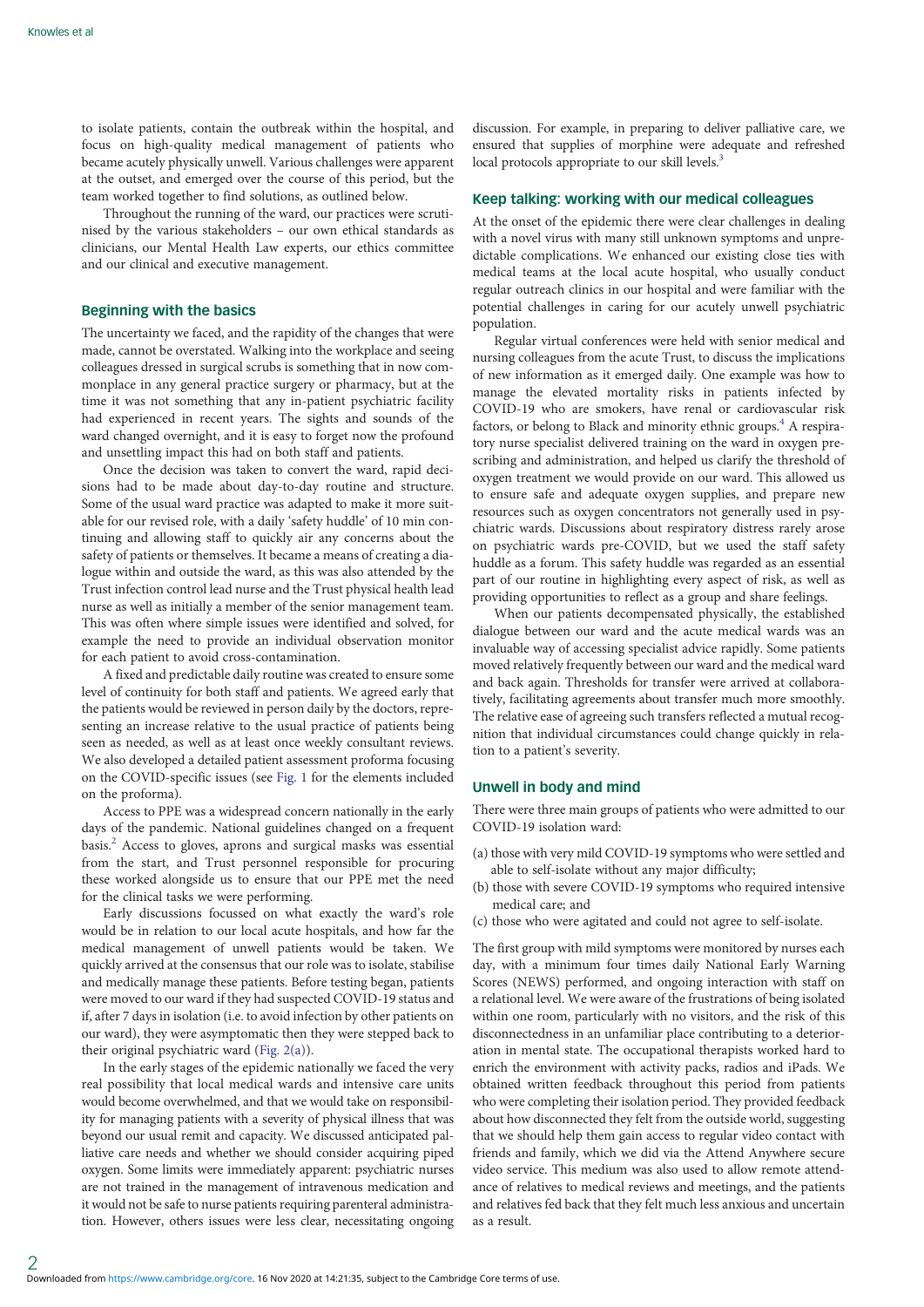to isolate patients, contain the outbreak within the hospital, and focus on high-quality medical management of patients who became acutely physically unwell. Various challenges were apparent at the outset, and emerged over the course of this period, but the team worked together to find solutions, as outlined below.

Throughout the running of the ward, our practices were scrutinised by the various stakeholders – our own ethical standards as clinicians, our Mental Health Law experts, our ethics committee and our clinical and executive management.

## Beginning with the basics

The uncertainty we faced, and the rapidity of the changes that were made, cannot be overstated. Walking into the workplace and seeing colleagues dressed in surgical scrubs is something that in now commonplace in any general practice surgery or pharmacy, but at the time it was not something that any in-patient psychiatric facility had experienced in recent years. The sights and sounds of the ward changed overnight, and it is easy to forget now the profound and unsettling impact this had on both staff and patients.

Once the decision was taken to convert the ward, rapid decisions had to be made about day-to-day routine and structure. Some of the usual ward practice was adapted to make it more suitable for our revised role, with a daily 'safety huddle' of 10 min continuing and allowing staff to quickly air any concerns about the safety of patients or themselves. It became a means of creating a dialogue within and outside the ward, as this was also attended by the Trust infection control lead nurse and the Trust physical health lead nurse as well as initially a member of the senior management team. This was often where simple issues were identified and solved, for example the need to provide an individual observation monitor for each patient to avoid cross-contamination.

A fixed and predictable daily routine was created to ensure some level of continuity for both staff and patients. We agreed early that the patients would be reviewed in person daily by the doctors, representing an increase relative to the usual practice of patients being seen as needed, as well as at least once weekly consultant reviews. We also developed a detailed patient assessment proforma focusing on the COVID-specific issues (see [Fig. 1](#page-2-0) for the elements included on the proforma).

Access to PPE was a widespread concern nationally in the early days of the pandemic. National guidelines changed on a frequent basis.[2](#page-5-0) Access to gloves, aprons and surgical masks was essential from the start, and Trust personnel responsible for procuring these worked alongside us to ensure that our PPE met the need for the clinical tasks we were performing.

Early discussions focussed on what exactly the ward's role would be in relation to our local acute hospitals, and how far the medical management of unwell patients would be taken. We quickly arrived at the consensus that our role was to isolate, stabilise and medically manage these patients. Before testing began, patients were moved to our ward if they had suspected COVID-19 status and if, after 7 days in isolation (i.e. to avoid infection by other patients on our ward), they were asymptomatic then they were stepped back to their original psychiatric ward [\(Fig. 2\(a\)](#page-2-0)).

In the early stages of the epidemic nationally we faced the very real possibility that local medical wards and intensive care units would become overwhelmed, and that we would take on responsibility for managing patients with a severity of physical illness that was beyond our usual remit and capacity. We discussed anticipated palliative care needs and whether we should consider acquiring piped oxygen. Some limits were immediately apparent: psychiatric nurses are not trained in the management of intravenous medication and it would not be safe to nurse patients requiring parenteral administration. However, others issues were less clear, necessitating ongoing discussion. For example, in preparing to deliver palliative care, we ensured that supplies of morphine were adequate and refreshed local protocols appropriate to our skill levels.<sup>3</sup>

## Keep talking: working with our medical colleagues

At the onset of the epidemic there were clear challenges in dealing with a novel virus with many still unknown symptoms and unpredictable complications. We enhanced our existing close ties with medical teams at the local acute hospital, who usually conduct regular outreach clinics in our hospital and were familiar with the potential challenges in caring for our acutely unwell psychiatric population.

Regular virtual conferences were held with senior medical and nursing colleagues from the acute Trust, to discuss the implications of new information as it emerged daily. One example was how to manage the elevated mortality risks in patients infected by COVID-19 who are smokers, have renal or cardiovascular risk factors, or belong to Black and minority ethnic groups.<sup>4</sup> A respiratory nurse specialist delivered training on the ward in oxygen prescribing and administration, and helped us clarify the threshold of oxygen treatment we would provide on our ward. This allowed us to ensure safe and adequate oxygen supplies, and prepare new resources such as oxygen concentrators not generally used in psychiatric wards. Discussions about respiratory distress rarely arose on psychiatric wards pre-COVID, but we used the staff safety huddle as a forum. This safety huddle was regarded as an essential part of our routine in highlighting every aspect of risk, as well as providing opportunities to reflect as a group and share feelings.

When our patients decompensated physically, the established dialogue between our ward and the acute medical wards was an invaluable way of accessing specialist advice rapidly. Some patients moved relatively frequently between our ward and the medical ward and back again. Thresholds for transfer were arrived at collaboratively, facilitating agreements about transfer much more smoothly. The relative ease of agreeing such transfers reflected a mutual recognition that individual circumstances could change quickly in relation to a patient's severity.

## Unwell in body and mind

There were three main groups of patients who were admitted to our COVID-19 isolation ward:

- (a) those with very mild COVID-19 symptoms who were settled and able to self-isolate without any major difficulty;
- (b) those with severe COVID-19 symptoms who required intensive medical care; and
- (c) those who were agitated and could not agree to self-isolate.

The first group with mild symptoms were monitored by nurses each day, with a minimum four times daily National Early Warning Scores (NEWS) performed, and ongoing interaction with staff on a relational level. We were aware of the frustrations of being isolated within one room, particularly with no visitors, and the risk of this disconnectedness in an unfamiliar place contributing to a deterioration in mental state. The occupational therapists worked hard to enrich the environment with activity packs, radios and iPads. We obtained written feedback throughout this period from patients who were completing their isolation period. They provided feedback about how disconnected they felt from the outside world, suggesting that we should help them gain access to regular video contact with friends and family, which we did via the Attend Anywhere secure video service. This medium was also used to allow remote attendance of relatives to medical reviews and meetings, and the patients and relatives fed back that they felt much less anxious and uncertain as a result.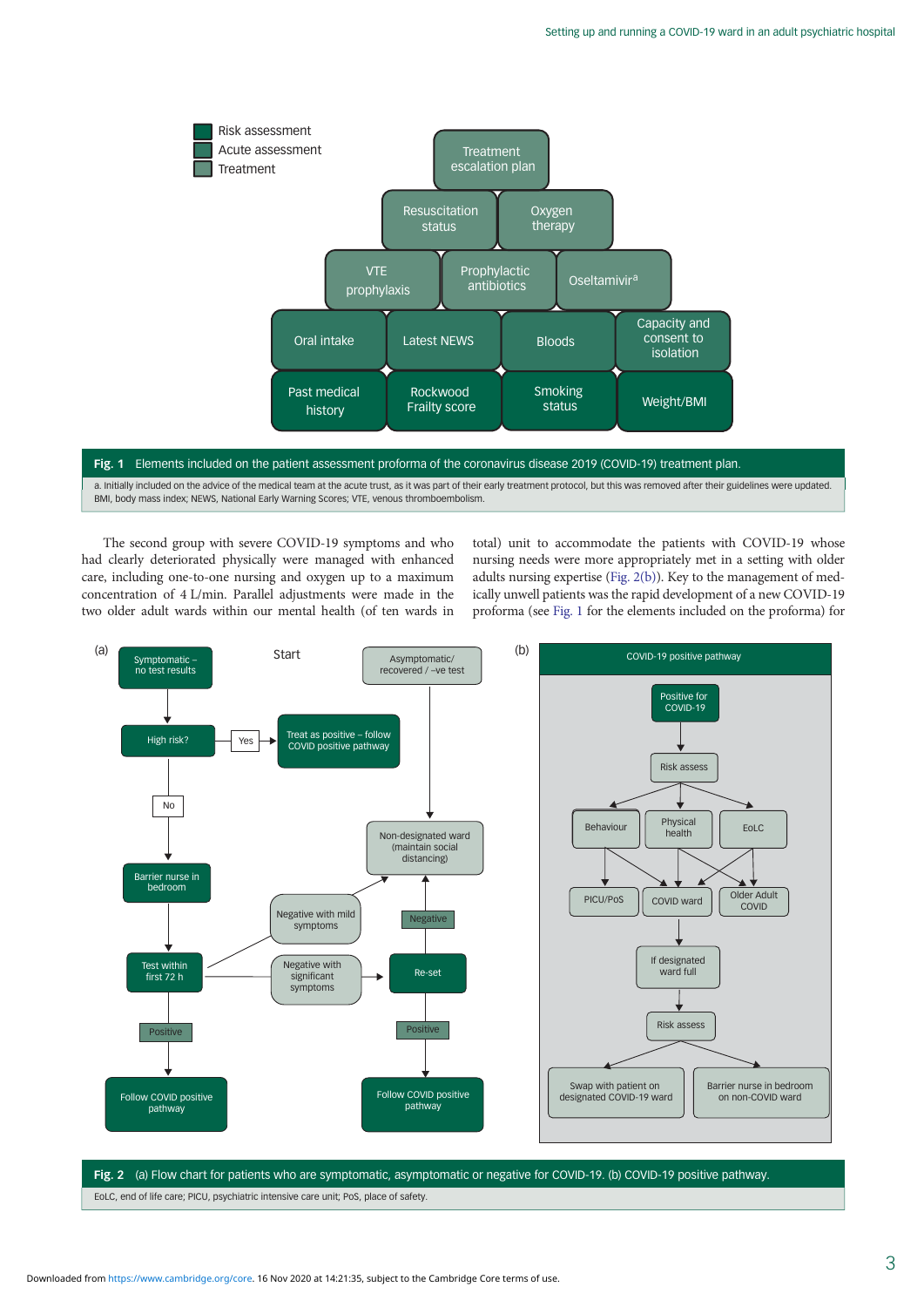<span id="page-2-0"></span>

# Fig. 1 Elements included on the patient assessment proforma of the coronavirus disease 2019 (COVID-19) treatment plan. a. Initially included on the advice of the medical team at the acute trust, as it was part of their early treatment protocol, but this was removed after their guidelines were updated. BMI, body mass index; NEWS, National Early Warning Scores; VTE, venous thromboembolism.

The second group with severe COVID-19 symptoms and who had clearly deteriorated physically were managed with enhanced care, including one-to-one nursing and oxygen up to a maximum concentration of 4 L/min. Parallel adjustments were made in the two older adult wards within our mental health (of ten wards in total) unit to accommodate the patients with COVID-19 whose nursing needs were more appropriately met in a setting with older adults nursing expertise (Fig. 2(b)). Key to the management of medically unwell patients was the rapid development of a new COVID-19 proforma (see Fig. 1 for the elements included on the proforma) for



Fig. 2 (a) Flow chart for patients who are symptomatic, asymptomatic or negative for COVID-19. (b) COVID-19 positive pathway. EoLC, end of life care; PICU, psychiatric intensive care unit; PoS, place of safety.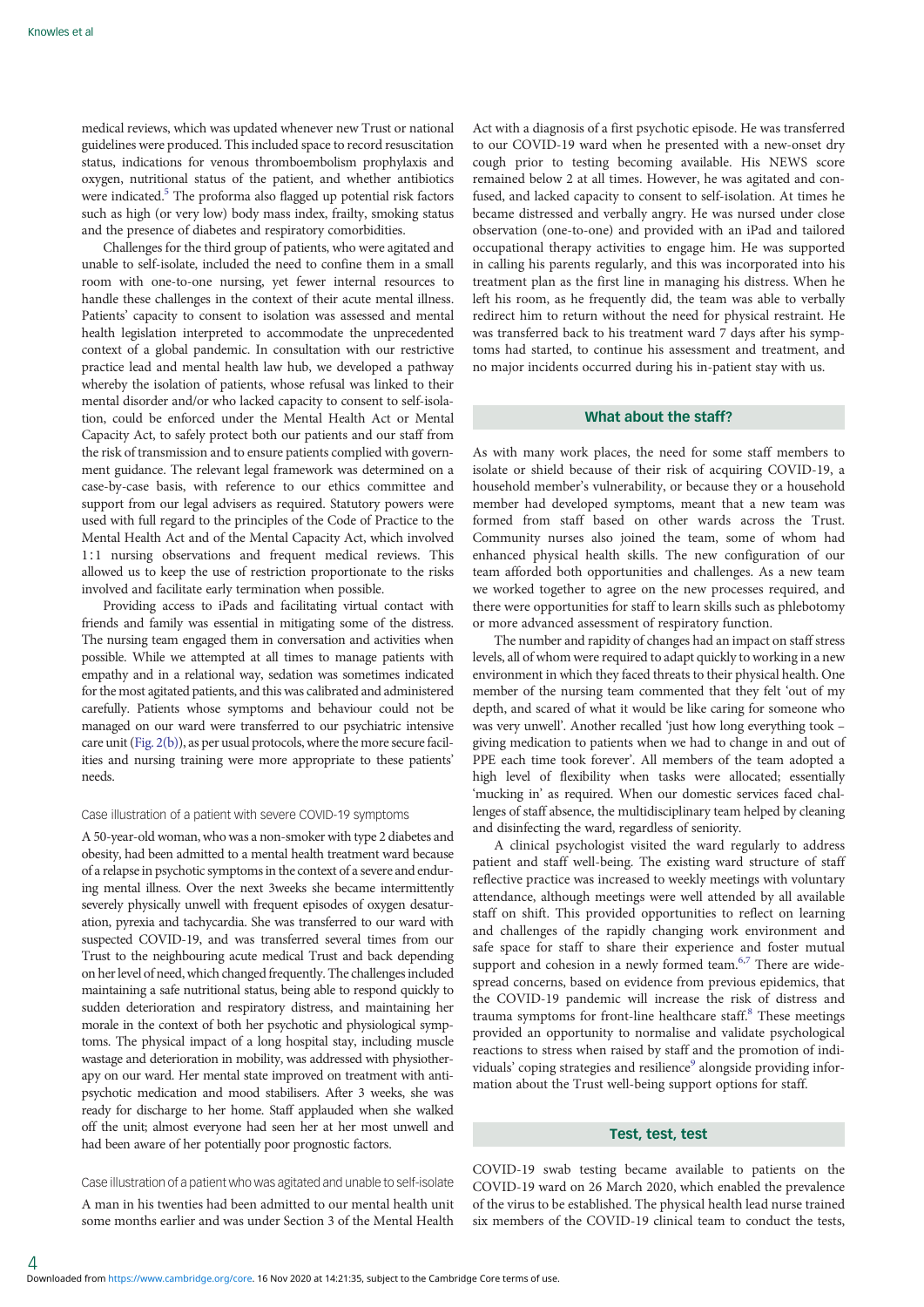medical reviews, which was updated whenever new Trust or national guidelines were produced. This included space to record resuscitation status, indications for venous thromboembolism prophylaxis and oxygen, nutritional status of the patient, and whether antibiotics were indicated.<sup>[5](#page-5-0)</sup> The proforma also flagged up potential risk factors such as high (or very low) body mass index, frailty, smoking status and the presence of diabetes and respiratory comorbidities.

Challenges for the third group of patients, who were agitated and unable to self-isolate, included the need to confine them in a small room with one-to-one nursing, yet fewer internal resources to handle these challenges in the context of their acute mental illness. Patients' capacity to consent to isolation was assessed and mental health legislation interpreted to accommodate the unprecedented context of a global pandemic. In consultation with our restrictive practice lead and mental health law hub, we developed a pathway whereby the isolation of patients, whose refusal was linked to their mental disorder and/or who lacked capacity to consent to self-isolation, could be enforced under the Mental Health Act or Mental Capacity Act, to safely protect both our patients and our staff from the risk of transmission and to ensure patients complied with government guidance. The relevant legal framework was determined on a case-by-case basis, with reference to our ethics committee and support from our legal advisers as required. Statutory powers were used with full regard to the principles of the Code of Practice to the Mental Health Act and of the Mental Capacity Act, which involved 1∶1 nursing observations and frequent medical reviews. This allowed us to keep the use of restriction proportionate to the risks involved and facilitate early termination when possible.

Providing access to iPads and facilitating virtual contact with friends and family was essential in mitigating some of the distress. The nursing team engaged them in conversation and activities when possible. While we attempted at all times to manage patients with empathy and in a relational way, sedation was sometimes indicated for the most agitated patients, and this was calibrated and administered carefully. Patients whose symptoms and behaviour could not be managed on our ward were transferred to our psychiatric intensive care unit ([Fig. 2\(b\)](#page-2-0)), as per usual protocols, where the more secure facilities and nursing training were more appropriate to these patients' needs.

#### Case illustration of a patient with severe COVID-19 symptoms

A 50-year-old woman, who was a non-smoker with type 2 diabetes and obesity, had been admitted to a mental health treatment ward because of a relapse in psychotic symptoms in the context of a severe and enduring mental illness. Over the next 3weeks she became intermittently severely physically unwell with frequent episodes of oxygen desaturation, pyrexia and tachycardia. She was transferred to our ward with suspected COVID-19, and was transferred several times from our Trust to the neighbouring acute medical Trust and back depending on her level of need, which changed frequently. The challenges included maintaining a safe nutritional status, being able to respond quickly to sudden deterioration and respiratory distress, and maintaining her morale in the context of both her psychotic and physiological symptoms. The physical impact of a long hospital stay, including muscle wastage and deterioration in mobility, was addressed with physiotherapy on our ward. Her mental state improved on treatment with antipsychotic medication and mood stabilisers. After 3 weeks, she was ready for discharge to her home. Staff applauded when she walked off the unit; almost everyone had seen her at her most unwell and had been aware of her potentially poor prognostic factors.

# Case illustration of a patient who was agitated and unable to self-isolate

A man in his twenties had been admitted to our mental health unit some months earlier and was under Section 3 of the Mental Health Act with a diagnosis of a first psychotic episode. He was transferred to our COVID-19 ward when he presented with a new-onset dry cough prior to testing becoming available. His NEWS score remained below 2 at all times. However, he was agitated and confused, and lacked capacity to consent to self-isolation. At times he became distressed and verbally angry. He was nursed under close observation (one-to-one) and provided with an iPad and tailored occupational therapy activities to engage him. He was supported in calling his parents regularly, and this was incorporated into his treatment plan as the first line in managing his distress. When he left his room, as he frequently did, the team was able to verbally redirect him to return without the need for physical restraint. He was transferred back to his treatment ward 7 days after his symptoms had started, to continue his assessment and treatment, and no major incidents occurred during his in-patient stay with us.

## What about the staff?

As with many work places, the need for some staff members to isolate or shield because of their risk of acquiring COVID-19, a household member's vulnerability, or because they or a household member had developed symptoms, meant that a new team was formed from staff based on other wards across the Trust. Community nurses also joined the team, some of whom had enhanced physical health skills. The new configuration of our team afforded both opportunities and challenges. As a new team we worked together to agree on the new processes required, and there were opportunities for staff to learn skills such as phlebotomy or more advanced assessment of respiratory function.

The number and rapidity of changes had an impact on staff stress levels, all of whom were required to adapt quickly to working in a new environment in which they faced threats to their physical health. One member of the nursing team commented that they felt 'out of my depth, and scared of what it would be like caring for someone who was very unwell'. Another recalled 'just how long everything took – giving medication to patients when we had to change in and out of PPE each time took forever'. All members of the team adopted a high level of flexibility when tasks were allocated; essentially 'mucking in' as required. When our domestic services faced challenges of staff absence, the multidisciplinary team helped by cleaning and disinfecting the ward, regardless of seniority.

A clinical psychologist visited the ward regularly to address patient and staff well-being. The existing ward structure of staff reflective practice was increased to weekly meetings with voluntary attendance, although meetings were well attended by all available staff on shift. This provided opportunities to reflect on learning and challenges of the rapidly changing work environment and safe space for staff to share their experience and foster mutual support and cohesion in a newly formed team. $6,7$  There are widespread concerns, based on evidence from previous epidemics, that the COVID-19 pandemic will increase the risk of distress and trauma symptoms for front-line healthcare staff.<sup>[8](#page-5-0)</sup> These meetings provided an opportunity to normalise and validate psychological reactions to stress when raised by staff and the promotion of indi-viduals' coping strategies and resilience<sup>[9](#page-5-0)</sup> alongside providing information about the Trust well-being support options for staff.

# Test, test, test

COVID-19 swab testing became available to patients on the COVID-19 ward on 26 March 2020, which enabled the prevalence of the virus to be established. The physical health lead nurse trained six members of the COVID-19 clinical team to conduct the tests,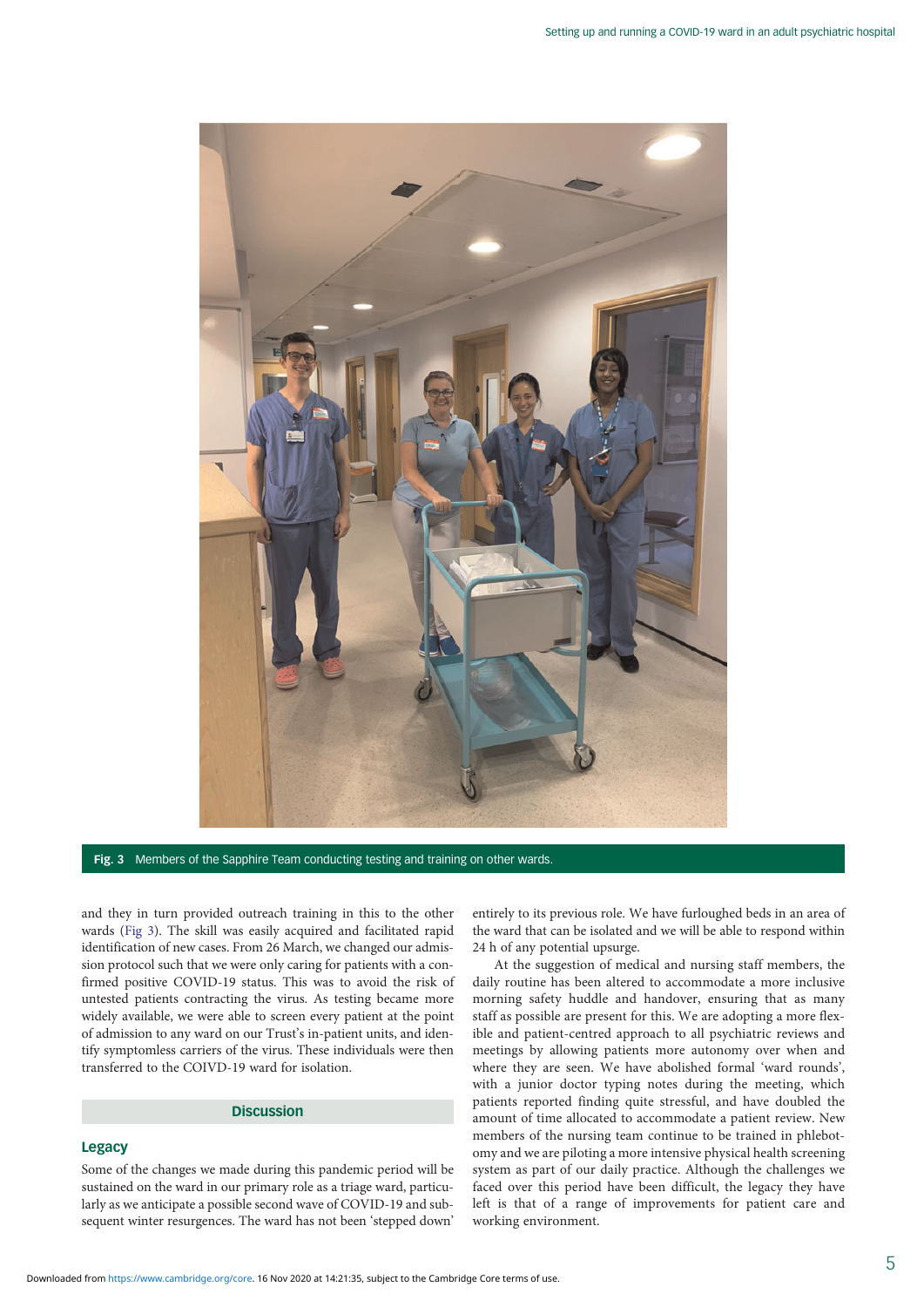

Fig. 3 Members of the Sapphire Team conducting testing and training on other wards.

and they in turn provided outreach training in this to the other wards (Fig 3). The skill was easily acquired and facilitated rapid identification of new cases. From 26 March, we changed our admission protocol such that we were only caring for patients with a confirmed positive COVID-19 status. This was to avoid the risk of untested patients contracting the virus. As testing became more widely available, we were able to screen every patient at the point of admission to any ward on our Trust's in-patient units, and identify symptomless carriers of the virus. These individuals were then transferred to the COIVD-19 ward for isolation.

# **Discussion**

# Legacy

Some of the changes we made during this pandemic period will be sustained on the ward in our primary role as a triage ward, particularly as we anticipate a possible second wave of COVID-19 and subsequent winter resurgences. The ward has not been 'stepped down'

entirely to its previous role. We have furloughed beds in an area of the ward that can be isolated and we will be able to respond within 24 h of any potential upsurge.

At the suggestion of medical and nursing staff members, the daily routine has been altered to accommodate a more inclusive morning safety huddle and handover, ensuring that as many staff as possible are present for this. We are adopting a more flexible and patient-centred approach to all psychiatric reviews and meetings by allowing patients more autonomy over when and where they are seen. We have abolished formal 'ward rounds', with a junior doctor typing notes during the meeting, which patients reported finding quite stressful, and have doubled the amount of time allocated to accommodate a patient review. New members of the nursing team continue to be trained in phlebotomy and we are piloting a more intensive physical health screening system as part of our daily practice. Although the challenges we faced over this period have been difficult, the legacy they have left is that of a range of improvements for patient care and working environment.